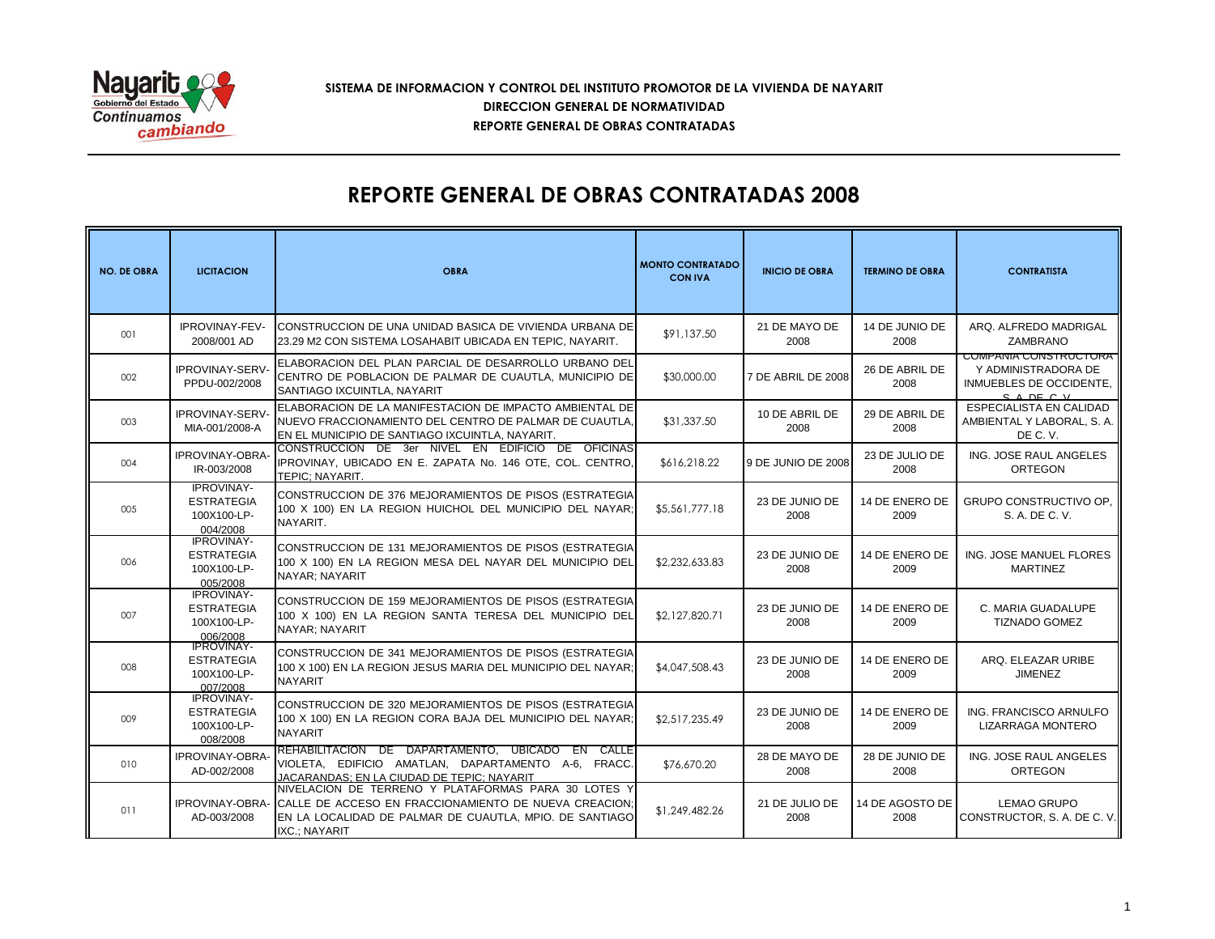

## **SISTEMA DE INFORMACION Y CONTROL DEL INSTITUTO PROMOTOR DE LA VIVIENDA DE NAYARIT REPORTE GENERAL DE OBRAS CONTRATADAS DIRECCION GENERAL DE NORMATIVIDAD**

## **REPORTE GENERAL DE OBRAS CONTRATADAS 2008**

| <b>NO. DE OBRA</b> | <b>LICITACION</b>                                                               | <b>OBRA</b>                                                                                                                                                                              | <b>MONTO CONTRATADO</b><br><b>CON IVA</b> | <b>INICIO DE OBRA</b>  | <b>TERMINO DE OBRA</b>  | <b>CONTRATISTA</b>                                                                        |
|--------------------|---------------------------------------------------------------------------------|------------------------------------------------------------------------------------------------------------------------------------------------------------------------------------------|-------------------------------------------|------------------------|-------------------------|-------------------------------------------------------------------------------------------|
| 001                | IPROVINAY-FEV-<br>2008/001 AD                                                   | CONSTRUCCION DE UNA UNIDAD BASICA DE VIVIENDA URBANA DE<br>23.29 M2 CON SISTEMA LOSAHABIT UBICADA EN TEPIC, NAYARIT.                                                                     | \$91,137.50                               | 21 DE MAYO DE<br>2008  | 14 DE JUNIO DE<br>2008  | ARQ. ALFREDO MADRIGAL<br>ZAMBRANO                                                         |
| 002                | <b>IPROVINAY-SERV-</b><br>PPDU-002/2008                                         | ELABORACION DEL PLAN PARCIAL DE DESARROLLO URBANO DEL<br>CENTRO DE POBLACION DE PALMAR DE CUAUTLA, MUNICIPIO DE<br>SANTIAGO IXCUINTLA, NAYARIT                                           | \$30,000.00                               | 7 DE ABRIL DE 2008     | 26 DE ABRIL DE<br>2008  | <b>COMPANIA CONSTRUCTORA</b><br>Y ADMINISTRADORA DE<br>INMUEBLES DE OCCIDENTE,<br>SADEC V |
| 003                | IPROVINAY-SERV-<br>MIA-001/2008-A                                               | ELABORACION DE LA MANIFESTACION DE IMPACTO AMBIENTAL DE<br>NUEVO FRACCIONAMIENTO DEL CENTRO DE PALMAR DE CUAUTLA.<br>EN EL MUNICIPIO DE SANTIAGO IXCUINTLA, NAYARIT.                     | \$31,337.50                               | 10 DE ABRIL DE<br>2008 | 29 DE ABRIL DE<br>2008  | ESPECIALISTA EN CALIDAD<br>AMBIENTAL Y LABORAL, S. A.<br>DE C.V.                          |
| 004                | <b>IPROVINAY-OBRA-</b><br>IR-003/2008                                           | CONSTRUCCION DE 3er NIVEL EN EDIFICIO DE OFICINAS<br>IPROVINAY, UBICADO EN E. ZAPATA No. 146 OTE, COL. CENTRO,<br>TEPIC: NAYARIT.                                                        | \$616,218.22                              | 9 DE JUNIO DE 2008     | 23 DE JULIO DE<br>2008  | ING. JOSE RAUL ANGELES<br><b>ORTEGON</b>                                                  |
| 005                | <b>IPROVINAY-</b><br><b>ESTRATEGIA</b><br>100X100-LP-<br>004/2008               | CONSTRUCCION DE 376 MEJORAMIENTOS DE PISOS (ESTRATEGIA<br>100 X 100) EN LA REGION HUICHOL DEL MUNICIPIO DEL NAYAR;<br>NAYARIT.                                                           | \$5,561,777.18                            | 23 DE JUNIO DE<br>2008 | 14 DE ENERO DE<br>2009  | GRUPO CONSTRUCTIVO OP.<br>S. A. DE C. V.                                                  |
| 006                | <b>IPROVINAY-</b><br><b>ESTRATEGIA</b><br>100X100-LP-<br>005/2008               | CONSTRUCCION DE 131 MEJORAMIENTOS DE PISOS (ESTRATEGIA<br>100 X 100) EN LA REGION MESA DEL NAYAR DEL MUNICIPIO DEL<br>NAYAR: NAYARIT                                                     | \$2,232,633.83                            | 23 DE JUNIO DE<br>2008 | 14 DE ENERO DE<br>2009  | ING. JOSE MANUEL FLORES<br><b>MARTINEZ</b>                                                |
| 007                | <b>IPROVINAY-</b><br><b>ESTRATEGIA</b><br>100X100-LP-<br>006/2008<br>-IPROVINAY | CONSTRUCCION DE 159 MEJORAMIENTOS DE PISOS (ESTRATEGIA<br>100 X 100) EN LA REGION SANTA TERESA DEL MUNICIPIO DEL<br>NAYAR: NAYARIT                                                       | \$2,127,820.71                            | 23 DE JUNIO DE<br>2008 | 14 DE ENERO DE<br>2009  | C. MARIA GUADALUPE<br><b>TIZNADO GOMEZ</b>                                                |
| 008                | <b>ESTRATEGIA</b><br>100X100-LP-<br>007/2008                                    | CONSTRUCCION DE 341 MEJORAMIENTOS DE PISOS (ESTRATEGIA<br>100 X 100) EN LA REGION JESUS MARIA DEL MUNICIPIO DEL NAYAR;<br><b>NAYARIT</b>                                                 | \$4,047,508.43                            | 23 DE JUNIO DE<br>2008 | 14 DE ENERO DE<br>2009  | ARQ. ELEAZAR URIBE<br><b>JIMENEZ</b>                                                      |
| 009                | <b>IPROVINAY-</b><br><b>ESTRATEGIA</b><br>100X100-LP-<br>008/2008               | CONSTRUCCION DE 320 MEJORAMIENTOS DE PISOS (ESTRATEGIA<br>100 X 100) EN LA REGION CORA BAJA DEL MUNICIPIO DEL NAYAR;<br><b>NAYARIT</b>                                                   | \$2,517,235.49                            | 23 DE JUNIO DE<br>2008 | 14 DE ENERO DE<br>2009  | ING. FRANCISCO ARNULFO<br>LIZARRAGA MONTERO                                               |
| 010                | IPROVINAY-OBRA-<br>AD-002/2008                                                  | REHABILITACION DE DAPARTAMENTO, UBICADO EN CALLE<br>VIOLETA, EDIFICIO AMATLAN, DAPARTAMENTO A-6, FRACC.<br>JACARANDAS: EN LA CIUDAD DE TEPIC: NAYARIT                                    | \$76,670.20                               | 28 DE MAYO DE<br>2008  | 28 DE JUNIO DE<br>2008  | ING. JOSE RAUL ANGELES<br><b>ORTEGON</b>                                                  |
| 011                | IPROVINAY-OBRA-<br>AD-003/2008                                                  | NIVELACION DE TERRENO Y PLATAFORMAS PARA 30 LOTES Y<br>CALLE DE ACCESO EN FRACCIONAMIENTO DE NUEVA CREACION:<br>EN LA LOCALIDAD DE PALMAR DE CUAUTLA, MPIO. DE SANTIAGO<br>IXC.; NAYARIT | \$1,249,482.26                            | 21 DE JULIO DE<br>2008 | 14 DE AGOSTO DE<br>2008 | <b>LEMAO GRUPO</b><br>CONSTRUCTOR, S. A. DE C. V.                                         |